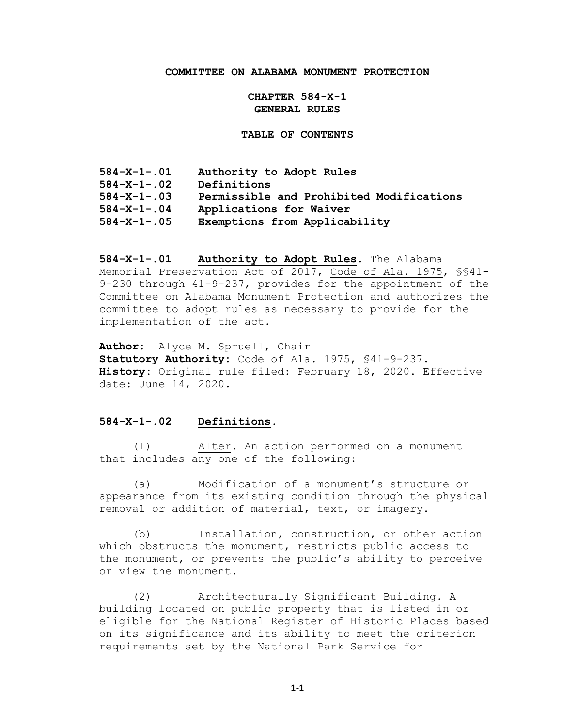### **COMMITTEE ON ALABAMA MONUMENT PROTECTION**

**CHAPTER 584-X-1 GENERAL RULES**

**TABLE OF CONTENTS**

| $584 - X - 1 - 01$  | Authority to Adopt Rules                 |
|---------------------|------------------------------------------|
| $584 - X - 1 - 02$  | Definitions                              |
| $584 - X - 1 - 03$  | Permissible and Prohibited Modifications |
| $584 - X - 1 - .04$ | Applications for Waiver                  |
| $584 - X - 1 - .05$ | Exemptions from Applicability            |

**584-X-1-.01 Authority to Adopt Rules.** The Alabama Memorial Preservation Act of 2017, Code of Ala. 1975, §§41- 9-230 through 41-9-237, provides for the appointment of the Committee on Alabama Monument Protection and authorizes the committee to adopt rules as necessary to provide for the implementation of the act.

**Author:** Alyce M. Spruell, Chair **Statutory Authority:** Code of Ala. 1975, §41-9-237. **History:** Original rule filed: February 18, 2020. Effective date: June 14, 2020.

### **584-X-1-.02 Definitions.**

(1) Alter. An action performed on a monument that includes any one of the following:

(a) Modification of a monument's structure or appearance from its existing condition through the physical removal or addition of material, text, or imagery.

(b) Installation, construction, or other action which obstructs the monument, restricts public access to the monument, or prevents the public's ability to perceive or view the monument.

(2) Architecturally Significant Building. A building located on public property that is listed in or eligible for the National Register of Historic Places based on its significance and its ability to meet the criterion requirements set by the National Park Service for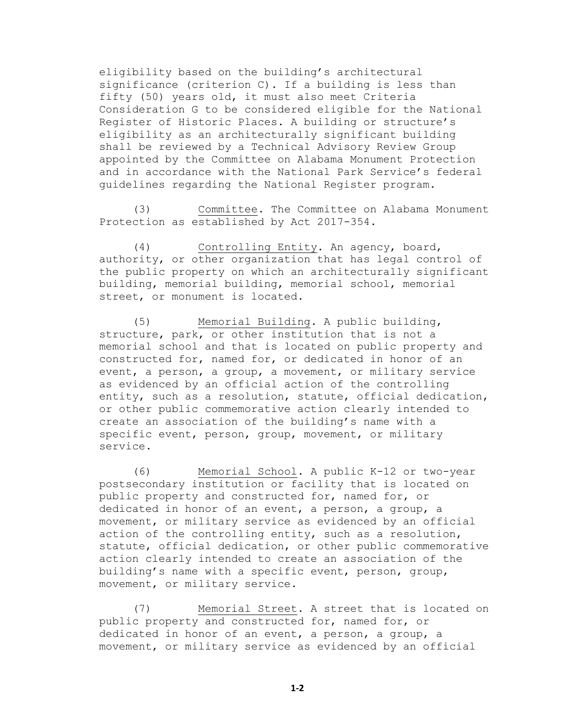eligibility based on the building's architectural significance (criterion C). If a building is less than fifty (50) years old, it must also meet Criteria Consideration G to be considered eligible for the National Register of Historic Places. A building or structure's eligibility as an architecturally significant building shall be reviewed by a Technical Advisory Review Group appointed by the Committee on Alabama Monument Protection and in accordance with the National Park Service's federal guidelines regarding the National Register program.

(3) Committee. The Committee on Alabama Monument Protection as established by Act 2017-354.

(4) Controlling Entity. An agency, board, authority, or other organization that has legal control of the public property on which an architecturally significant building, memorial building, memorial school, memorial street, or monument is located.

(5) Memorial Building. A public building, structure, park, or other institution that is not a memorial school and that is located on public property and constructed for, named for, or dedicated in honor of an event, a person, a group, a movement, or military service as evidenced by an official action of the controlling entity, such as a resolution, statute, official dedication, or other public commemorative action clearly intended to create an association of the building's name with a specific event, person, group, movement, or military service.

(6) Memorial School. A public K-12 or two-year postsecondary institution or facility that is located on public property and constructed for, named for, or dedicated in honor of an event, a person, a group, a movement, or military service as evidenced by an official action of the controlling entity, such as a resolution, statute, official dedication, or other public commemorative action clearly intended to create an association of the building's name with a specific event, person, group, movement, or military service.

(7) Memorial Street. A street that is located on public property and constructed for, named for, or dedicated in honor of an event, a person, a group, a movement, or military service as evidenced by an official

**1-2**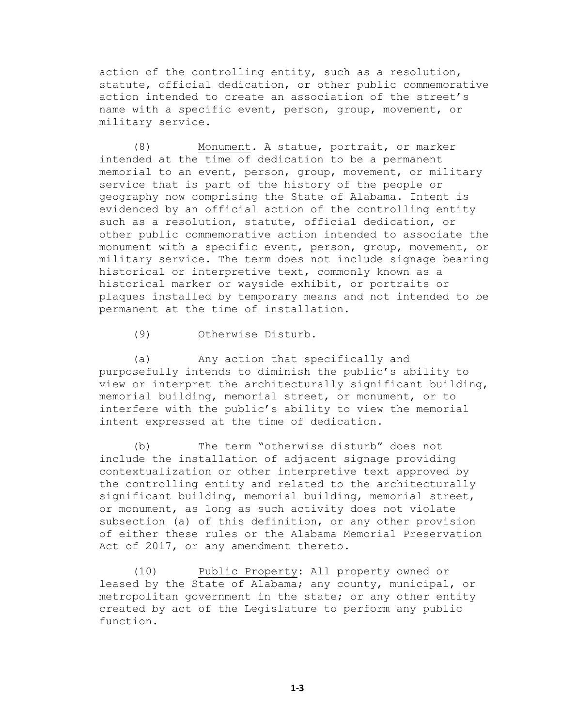action of the controlling entity, such as a resolution, statute, official dedication, or other public commemorative action intended to create an association of the street's name with a specific event, person, group, movement, or military service.

(8) Monument. A statue, portrait, or marker intended at the time of dedication to be a permanent memorial to an event, person, group, movement, or military service that is part of the history of the people or geography now comprising the State of Alabama. Intent is evidenced by an official action of the controlling entity such as a resolution, statute, official dedication, or other public commemorative action intended to associate the monument with a specific event, person, group, movement, or military service. The term does not include signage bearing historical or interpretive text, commonly known as a historical marker or wayside exhibit, or portraits or plaques installed by temporary means and not intended to be permanent at the time of installation.

### (9) Otherwise Disturb.

(a) Any action that specifically and purposefully intends to diminish the public's ability to view or interpret the architecturally significant building, memorial building, memorial street, or monument, or to interfere with the public's ability to view the memorial intent expressed at the time of dedication.

(b) The term "otherwise disturb" does not include the installation of adjacent signage providing contextualization or other interpretive text approved by the controlling entity and related to the architecturally significant building, memorial building, memorial street, or monument, as long as such activity does not violate subsection (a) of this definition, or any other provision of either these rules or the Alabama Memorial Preservation Act of 2017, or any amendment thereto.

(10) Public Property: All property owned or leased by the State of Alabama; any county, municipal, or metropolitan government in the state; or any other entity created by act of the Legislature to perform any public function.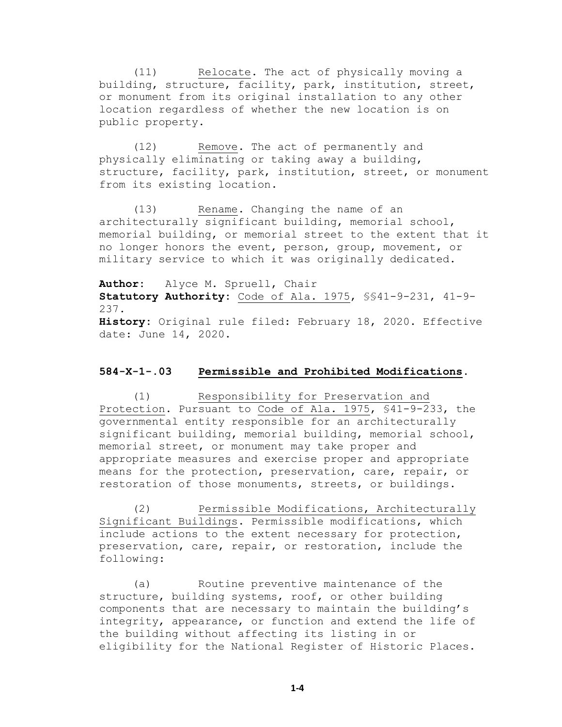(11) Relocate. The act of physically moving a building, structure, facility, park, institution, street, or monument from its original installation to any other location regardless of whether the new location is on public property.

(12) Remove. The act of permanently and physically eliminating or taking away a building, structure, facility, park, institution, street, or monument from its existing location.

(13) Rename. Changing the name of an architecturally significant building, memorial school, memorial building, or memorial street to the extent that it no longer honors the event, person, group, movement, or military service to which it was originally dedicated.

**Author:** Alyce M. Spruell, Chair **Statutory Authority:** Code of Ala. 1975, §§41-9-231, 41-9- 237. **History:** Original rule filed: February 18, 2020. Effective date: June 14, 2020.

### **584-X-1-.03 Permissible and Prohibited Modifications.**

(1) Responsibility for Preservation and Protection. Pursuant to Code of Ala. 1975, §41-9-233, the governmental entity responsible for an architecturally significant building, memorial building, memorial school, memorial street, or monument may take proper and appropriate measures and exercise proper and appropriate means for the protection, preservation, care, repair, or restoration of those monuments, streets, or buildings.

(2) Permissible Modifications, Architecturally Significant Buildings. Permissible modifications, which include actions to the extent necessary for protection, preservation, care, repair, or restoration, include the following:

(a) Routine preventive maintenance of the structure, building systems, roof, or other building components that are necessary to maintain the building's integrity, appearance, or function and extend the life of the building without affecting its listing in or eligibility for the National Register of Historic Places.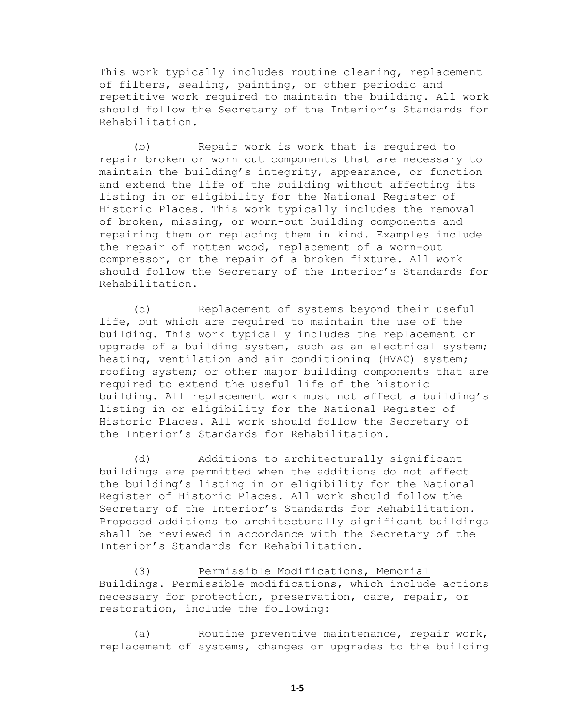This work typically includes routine cleaning, replacement of filters, sealing, painting, or other periodic and repetitive work required to maintain the building. All work should follow the Secretary of the Interior's Standards for Rehabilitation.

(b) Repair work is work that is required to repair broken or worn out components that are necessary to maintain the building's integrity, appearance, or function and extend the life of the building without affecting its listing in or eligibility for the National Register of Historic Places. This work typically includes the removal of broken, missing, or worn-out building components and repairing them or replacing them in kind. Examples include the repair of rotten wood, replacement of a worn-out compressor, or the repair of a broken fixture. All work should follow the Secretary of the Interior's Standards for Rehabilitation.

(c) Replacement of systems beyond their useful life, but which are required to maintain the use of the building. This work typically includes the replacement or upgrade of a building system, such as an electrical system; heating, ventilation and air conditioning (HVAC) system; roofing system; or other major building components that are required to extend the useful life of the historic building. All replacement work must not affect a building's listing in or eligibility for the National Register of Historic Places. All work should follow the Secretary of the Interior's Standards for Rehabilitation.

(d) Additions to architecturally significant buildings are permitted when the additions do not affect the building's listing in or eligibility for the National Register of Historic Places. All work should follow the Secretary of the Interior's Standards for Rehabilitation. Proposed additions to architecturally significant buildings shall be reviewed in accordance with the Secretary of the Interior's Standards for Rehabilitation.

(3) Permissible Modifications, Memorial Buildings. Permissible modifications, which include actions necessary for protection, preservation, care, repair, or restoration, include the following:

(a) Routine preventive maintenance, repair work, replacement of systems, changes or upgrades to the building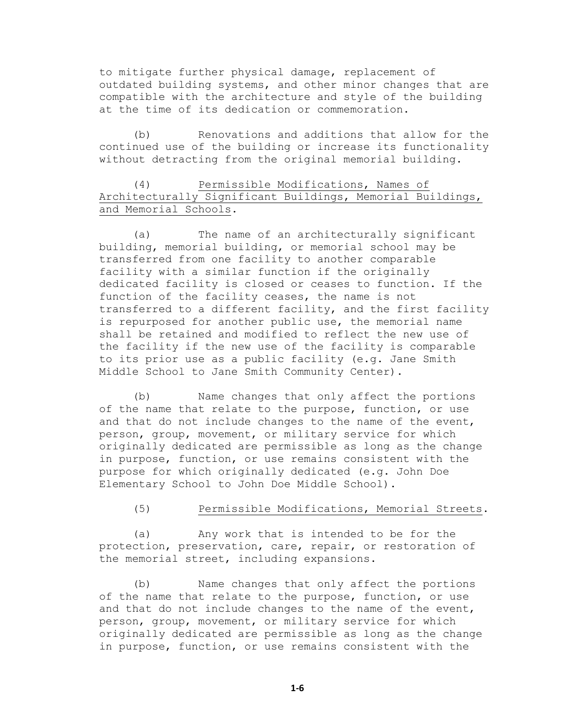to mitigate further physical damage, replacement of outdated building systems, and other minor changes that are compatible with the architecture and style of the building at the time of its dedication or commemoration.

(b) Renovations and additions that allow for the continued use of the building or increase its functionality without detracting from the original memorial building.

## (4) Permissible Modifications, Names of Architecturally Significant Buildings, Memorial Buildings, and Memorial Schools.

(a) The name of an architecturally significant building, memorial building, or memorial school may be transferred from one facility to another comparable facility with a similar function if the originally dedicated facility is closed or ceases to function. If the function of the facility ceases, the name is not transferred to a different facility, and the first facility is repurposed for another public use, the memorial name shall be retained and modified to reflect the new use of the facility if the new use of the facility is comparable to its prior use as a public facility (e.g. Jane Smith Middle School to Jane Smith Community Center).

(b) Name changes that only affect the portions of the name that relate to the purpose, function, or use and that do not include changes to the name of the event, person, group, movement, or military service for which originally dedicated are permissible as long as the change in purpose, function, or use remains consistent with the purpose for which originally dedicated (e.g. John Doe Elementary School to John Doe Middle School).

(5) Permissible Modifications, Memorial Streets.

(a) Any work that is intended to be for the protection, preservation, care, repair, or restoration of the memorial street, including expansions.

(b) Name changes that only affect the portions of the name that relate to the purpose, function, or use and that do not include changes to the name of the event, person, group, movement, or military service for which originally dedicated are permissible as long as the change in purpose, function, or use remains consistent with the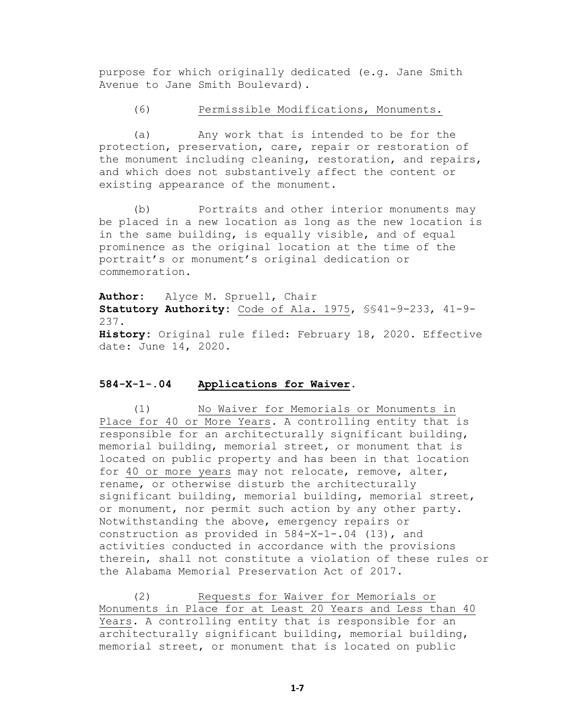purpose for which originally dedicated (e.g. Jane Smith Avenue to Jane Smith Boulevard).

#### (6) Permissible Modifications, Monuments.

(a) Any work that is intended to be for the protection, preservation, care, repair or restoration of the monument including cleaning, restoration, and repairs, and which does not substantively affect the content or existing appearance of the monument.

(b) Portraits and other interior monuments may be placed in a new location as long as the new location is in the same building, is equally visible, and of equal prominence as the original location at the time of the portrait's or monument's original dedication or commemoration.

**Author:** Alyce M. Spruell, Chair **Statutory Authority:** Code of Ala. 1975, §§41-9-233, 41-9- 237. **History:** Original rule filed: February 18, 2020. Effective date: June 14, 2020.

# **584-X-1-.04 Applications for Waiver.**

(1) No Waiver for Memorials or Monuments in Place for 40 or More Years. A controlling entity that is responsible for an architecturally significant building, memorial building, memorial street, or monument that is located on public property and has been in that location for 40 or more years may not relocate, remove, alter, rename, or otherwise disturb the architecturally significant building, memorial building, memorial street, or monument, nor permit such action by any other party. Notwithstanding the above, emergency repairs or construction as provided in 584-X-1-.04 (13), and activities conducted in accordance with the provisions therein, shall not constitute a violation of these rules or the Alabama Memorial Preservation Act of 2017.

(2) Requests for Waiver for Memorials or Monuments in Place for at Least 20 Years and Less than 40 Years. A controlling entity that is responsible for an architecturally significant building, memorial building, memorial street, or monument that is located on public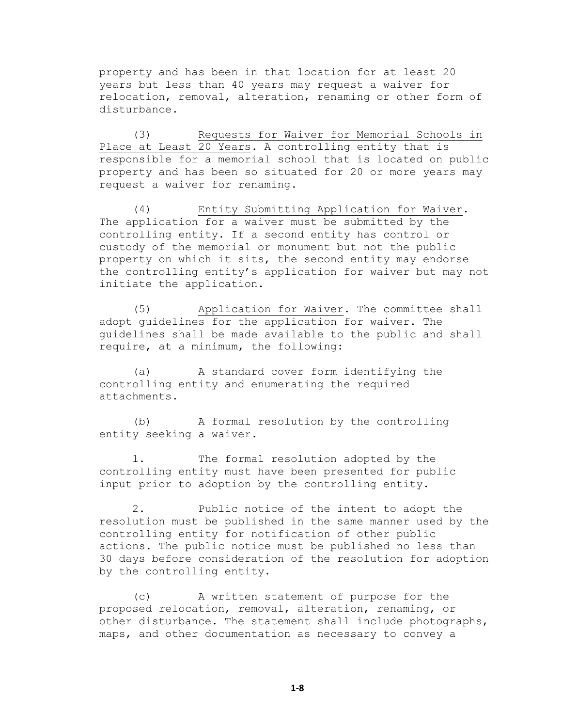property and has been in that location for at least 20 years but less than 40 years may request a waiver for relocation, removal, alteration, renaming or other form of disturbance.

(3) Requests for Waiver for Memorial Schools in Place at Least 20 Years. A controlling entity that is responsible for a memorial school that is located on public property and has been so situated for 20 or more years may request a waiver for renaming.

(4) Entity Submitting Application for Waiver. The application for a waiver must be submitted by the controlling entity. If a second entity has control or custody of the memorial or monument but not the public property on which it sits, the second entity may endorse the controlling entity's application for waiver but may not initiate the application.

(5) Application for Waiver. The committee shall adopt guidelines for the application for waiver. The guidelines shall be made available to the public and shall require, at a minimum, the following:

(a) A standard cover form identifying the controlling entity and enumerating the required attachments.

(b) A formal resolution by the controlling entity seeking a waiver.

1. The formal resolution adopted by the controlling entity must have been presented for public input prior to adoption by the controlling entity.

2. Public notice of the intent to adopt the resolution must be published in the same manner used by the controlling entity for notification of other public actions. The public notice must be published no less than 30 days before consideration of the resolution for adoption by the controlling entity.

(c) A written statement of purpose for the proposed relocation, removal, alteration, renaming, or other disturbance. The statement shall include photographs, maps, and other documentation as necessary to convey a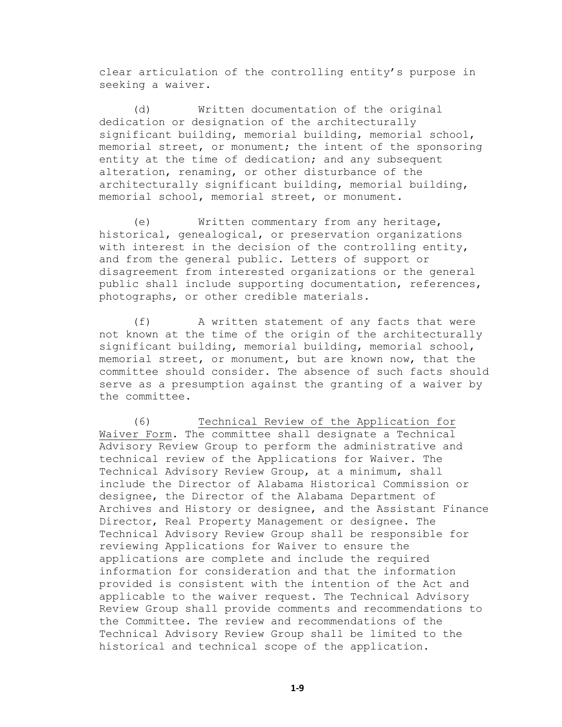clear articulation of the controlling entity's purpose in seeking a waiver.

(d) Written documentation of the original dedication or designation of the architecturally significant building, memorial building, memorial school, memorial street, or monument; the intent of the sponsoring entity at the time of dedication; and any subsequent alteration, renaming, or other disturbance of the architecturally significant building, memorial building, memorial school, memorial street, or monument.

(e) Written commentary from any heritage, historical, genealogical, or preservation organizations with interest in the decision of the controlling entity, and from the general public. Letters of support or disagreement from interested organizations or the general public shall include supporting documentation, references, photographs, or other credible materials.

(f) A written statement of any facts that were not known at the time of the origin of the architecturally significant building, memorial building, memorial school, memorial street, or monument, but are known now, that the committee should consider. The absence of such facts should serve as a presumption against the granting of a waiver by the committee.

(6) Technical Review of the Application for Waiver Form. The committee shall designate a Technical Advisory Review Group to perform the administrative and technical review of the Applications for Waiver. The Technical Advisory Review Group, at a minimum, shall include the Director of Alabama Historical Commission or designee, the Director of the Alabama Department of Archives and History or designee, and the Assistant Finance Director, Real Property Management or designee. The Technical Advisory Review Group shall be responsible for reviewing Applications for Waiver to ensure the applications are complete and include the required information for consideration and that the information provided is consistent with the intention of the Act and applicable to the waiver request. The Technical Advisory Review Group shall provide comments and recommendations to the Committee. The review and recommendations of the Technical Advisory Review Group shall be limited to the historical and technical scope of the application.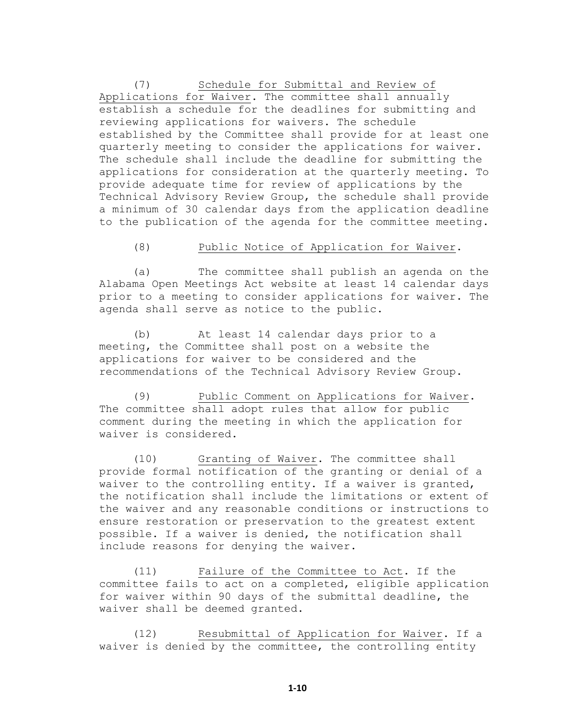(7) Schedule for Submittal and Review of Applications for Waiver. The committee shall annually establish a schedule for the deadlines for submitting and reviewing applications for waivers. The schedule established by the Committee shall provide for at least one quarterly meeting to consider the applications for waiver. The schedule shall include the deadline for submitting the applications for consideration at the quarterly meeting. To provide adequate time for review of applications by the Technical Advisory Review Group, the schedule shall provide a minimum of 30 calendar days from the application deadline to the publication of the agenda for the committee meeting.

#### (8) Public Notice of Application for Waiver.

(a) The committee shall publish an agenda on the Alabama Open Meetings Act website at least 14 calendar days prior to a meeting to consider applications for waiver. The agenda shall serve as notice to the public.

(b) At least 14 calendar days prior to a meeting, the Committee shall post on a website the applications for waiver to be considered and the recommendations of the Technical Advisory Review Group.

(9) Public Comment on Applications for Waiver. The committee shall adopt rules that allow for public comment during the meeting in which the application for waiver is considered.

(10) Granting of Waiver. The committee shall provide formal notification of the granting or denial of a waiver to the controlling entity. If a waiver is granted, the notification shall include the limitations or extent of the waiver and any reasonable conditions or instructions to ensure restoration or preservation to the greatest extent possible. If a waiver is denied, the notification shall include reasons for denying the waiver.

(11) Failure of the Committee to Act. If the committee fails to act on a completed, eligible application for waiver within 90 days of the submittal deadline, the waiver shall be deemed granted.

(12) Resubmittal of Application for Waiver. If a waiver is denied by the committee, the controlling entity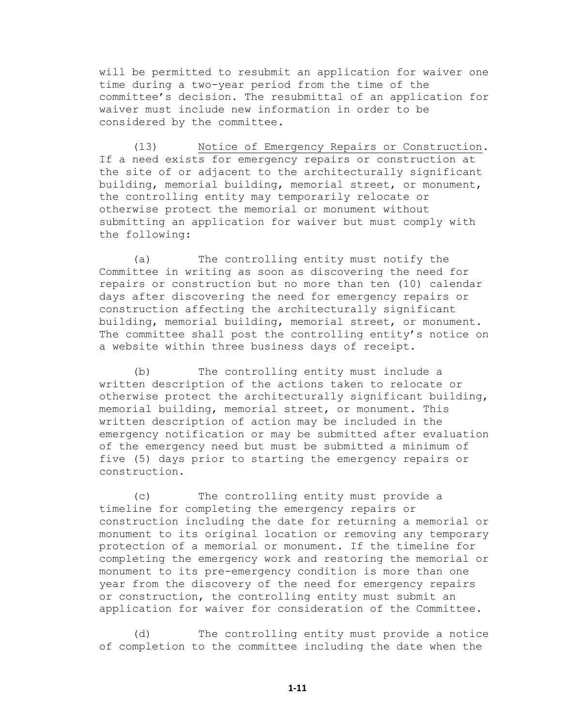will be permitted to resubmit an application for waiver one time during a two-year period from the time of the committee's decision. The resubmittal of an application for waiver must include new information in order to be considered by the committee.

(13) Notice of Emergency Repairs or Construction. If a need exists for emergency repairs or construction at the site of or adjacent to the architecturally significant building, memorial building, memorial street, or monument, the controlling entity may temporarily relocate or otherwise protect the memorial or monument without submitting an application for waiver but must comply with the following:

(a) The controlling entity must notify the Committee in writing as soon as discovering the need for repairs or construction but no more than ten (10) calendar days after discovering the need for emergency repairs or construction affecting the architecturally significant building, memorial building, memorial street, or monument. The committee shall post the controlling entity's notice on a website within three business days of receipt.

(b) The controlling entity must include a written description of the actions taken to relocate or otherwise protect the architecturally significant building, memorial building, memorial street, or monument. This written description of action may be included in the emergency notification or may be submitted after evaluation of the emergency need but must be submitted a minimum of five (5) days prior to starting the emergency repairs or construction.

(c) The controlling entity must provide a timeline for completing the emergency repairs or construction including the date for returning a memorial or monument to its original location or removing any temporary protection of a memorial or monument. If the timeline for completing the emergency work and restoring the memorial or monument to its pre-emergency condition is more than one year from the discovery of the need for emergency repairs or construction, the controlling entity must submit an application for waiver for consideration of the Committee.

(d) The controlling entity must provide a notice of completion to the committee including the date when the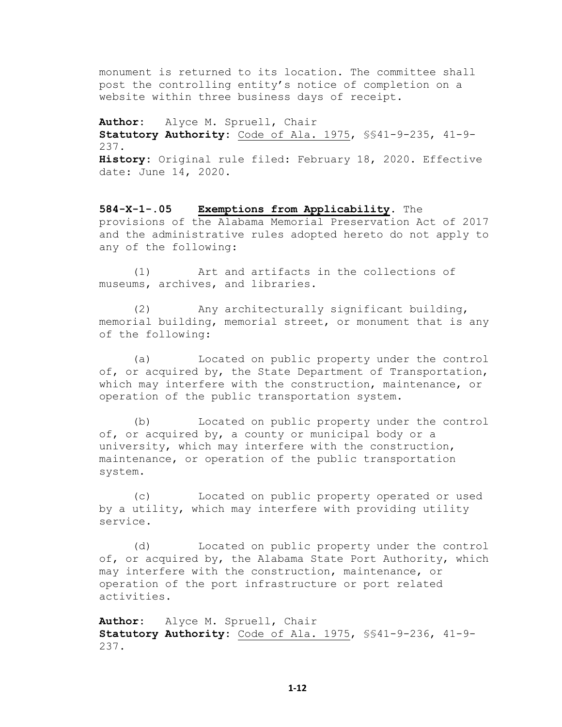monument is returned to its location. The committee shall post the controlling entity's notice of completion on a website within three business days of receipt.

**Author:** Alyce M. Spruell, Chair **Statutory Authority:** Code of Ala. 1975, §§41-9-235, 41-9- 237. **History:** Original rule filed: February 18, 2020. Effective date: June 14, 2020.

**584-X-1-.05 Exemptions from Applicability.** The provisions of the Alabama Memorial Preservation Act of 2017 and the administrative rules adopted hereto do not apply to any of the following:

(1) Art and artifacts in the collections of museums, archives, and libraries.

(2) Any architecturally significant building, memorial building, memorial street, or monument that is any of the following:

(a) Located on public property under the control of, or acquired by, the State Department of Transportation, which may interfere with the construction, maintenance, or operation of the public transportation system.

(b) Located on public property under the control of, or acquired by, a county or municipal body or a university, which may interfere with the construction, maintenance, or operation of the public transportation system.

(c) Located on public property operated or used by a utility, which may interfere with providing utility service.

(d) Located on public property under the control of, or acquired by, the Alabama State Port Authority, which may interfere with the construction, maintenance, or operation of the port infrastructure or port related activities.

**Author:** Alyce M. Spruell, Chair **Statutory Authority:** Code of Ala. 1975, §§41-9-236, 41-9- 237.